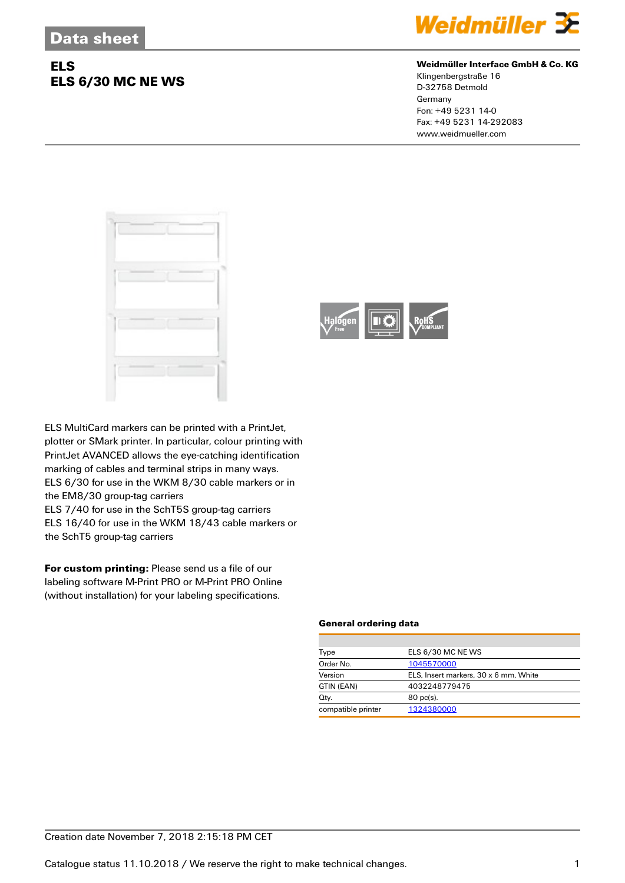## **ELS ELS 6/30 MC NE WS**



#### **Weidmüller Interface GmbH & Co. KG**

Klingenbergstraße 16 D-32758 Detmold Germany Fon: +49 5231 14-0 Fax: +49 5231 14-292083 www.weidmueller.com





ELS MultiCard markers can be printed with a PrintJet, plotter or SMark printer. In particular, colour printing with PrintJet AVANCED allows the eye-catching identification marking of cables and terminal strips in many ways. ELS 6/30 for use in the WKM 8/30 cable markers or in the EM8/30 group-tag carriers

ELS 7/40 for use in the SchT5S group-tag carriers ELS 16/40 for use in the WKM 18/43 cable markers or the SchT5 group-tag carriers

**For custom printing:** Please send us a file of our labeling software M-Print PRO or M-Print PRO Online (without installation) for your labeling specifications.

#### **General ordering data**

| Type               | ELS 6/30 MC NE WS                     |  |
|--------------------|---------------------------------------|--|
| Order No.          | 1045570000                            |  |
| Version            | ELS, Insert markers, 30 x 6 mm, White |  |
| GTIN (EAN)         | 4032248779475                         |  |
| Qty.               | $80 \text{ pc(s)}$                    |  |
| compatible printer | 1324380000                            |  |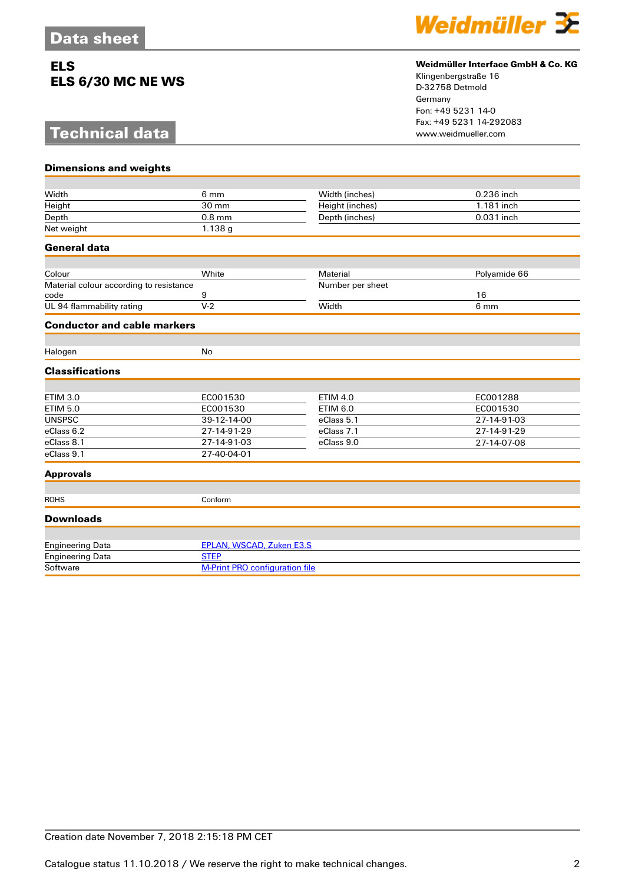## **ELS ELS 6/30 MC NE WS**

# **Technical data**



### **Weidmüller Interface GmbH & Co. KG**

Klingenbergstraße 16 D-32758 Detmold Germany Fon: +49 5231 14-0 Fax: +49 5231 14-292083

| <b>Dimensions and weights</b>                   |                                       |                  |              |  |
|-------------------------------------------------|---------------------------------------|------------------|--------------|--|
|                                                 |                                       |                  |              |  |
| Width                                           | 6 mm                                  | Width (inches)   | 0.236 inch   |  |
| Height                                          | 30 mm                                 | Height (inches)  | 1.181 inch   |  |
| Depth                                           | $0.8$ mm                              | Depth (inches)   | 0.031 inch   |  |
| Net weight                                      | 1.138g                                |                  |              |  |
| General data                                    |                                       |                  |              |  |
|                                                 |                                       |                  |              |  |
| Colour                                          | White                                 | Material         | Polyamide 66 |  |
| Material colour according to resistance<br>code | 9                                     | Number per sheet | 16           |  |
| UL 94 flammability rating                       | $V-2$                                 | Width            | 6 mm         |  |
| <b>Conductor and cable markers</b>              |                                       |                  |              |  |
|                                                 |                                       |                  |              |  |
| Halogen                                         | No                                    |                  |              |  |
| <b>Classifications</b>                          |                                       |                  |              |  |
|                                                 |                                       |                  |              |  |
| <b>ETIM 3.0</b>                                 | EC001530                              | <b>ETIM 4.0</b>  | EC001288     |  |
| <b>ETIM 5.0</b>                                 | EC001530                              | <b>ETIM 6.0</b>  | EC001530     |  |
| <b>UNSPSC</b>                                   | 39-12-14-00                           | eClass 5.1       | 27-14-91-03  |  |
| eClass 6.2                                      | 27-14-91-29                           | eClass 7.1       | 27-14-91-29  |  |
| eClass 8.1                                      | 27-14-91-03                           | eClass 9.0       | 27-14-07-08  |  |
| eClass 9.1                                      | 27-40-04-01                           |                  |              |  |
| <b>Approvals</b>                                |                                       |                  |              |  |
|                                                 |                                       |                  |              |  |
| <b>ROHS</b>                                     | Conform                               |                  |              |  |
| <b>Downloads</b>                                |                                       |                  |              |  |
| <b>Engineering Data</b>                         | <b>EPLAN, WSCAD, Zuken E3.S</b>       |                  |              |  |
| <b>Engineering Data</b>                         | <b>STEP</b>                           |                  |              |  |
| Software                                        | <b>M-Print PRO configuration file</b> |                  |              |  |
|                                                 |                                       |                  |              |  |